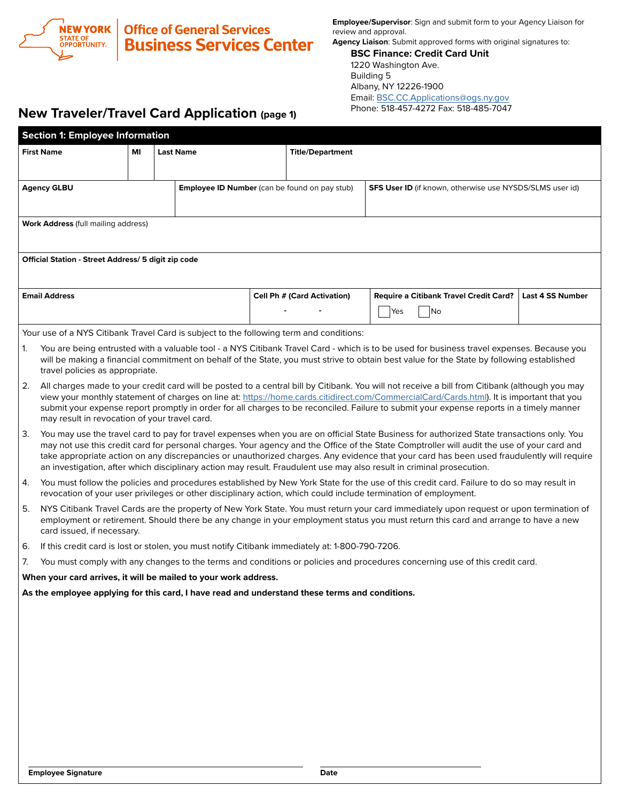

**Employee/Supervisor**: Sign and submit form to your Agency Liaison for review and approval.

**Agency Liaison**: Submit approved forms with original signatures to:

**BSC Finance: Credit Card Unit** 1220 Washington Ave. Building 5 Albany, NY 12226-1900 Email: [BSC.CC.Applications@ogs.ny.gov](mailto:BSC.CC.Applications%40ogs.ny.gov?subject=) Phone: 518-457-4272 Fax: 518-485-7047

## **New Traveler/Travel Card Application (page 1)**

| <b>Section 1: Employee Information</b>                                                                                                                                                                                                                                                |                                                                                                                                                                                                                                                                                         |  |  |                         |                                                      |                                    |                                                                                                                                                |                  |  |  |  |  |  |
|---------------------------------------------------------------------------------------------------------------------------------------------------------------------------------------------------------------------------------------------------------------------------------------|-----------------------------------------------------------------------------------------------------------------------------------------------------------------------------------------------------------------------------------------------------------------------------------------|--|--|-------------------------|------------------------------------------------------|------------------------------------|------------------------------------------------------------------------------------------------------------------------------------------------|------------------|--|--|--|--|--|
| <b>First Name</b><br><b>Last Name</b><br>ΜI                                                                                                                                                                                                                                           |                                                                                                                                                                                                                                                                                         |  |  | <b>Title/Department</b> |                                                      |                                    |                                                                                                                                                |                  |  |  |  |  |  |
|                                                                                                                                                                                                                                                                                       |                                                                                                                                                                                                                                                                                         |  |  |                         |                                                      |                                    |                                                                                                                                                |                  |  |  |  |  |  |
| <b>Agency GLBU</b>                                                                                                                                                                                                                                                                    |                                                                                                                                                                                                                                                                                         |  |  |                         | <b>Employee ID Number</b> (can be found on pay stub) |                                    | <b>SFS User ID</b> (if known, otherwise use NYSDS/SLMS user id)                                                                                |                  |  |  |  |  |  |
|                                                                                                                                                                                                                                                                                       |                                                                                                                                                                                                                                                                                         |  |  |                         |                                                      |                                    |                                                                                                                                                |                  |  |  |  |  |  |
|                                                                                                                                                                                                                                                                                       | <b>Work Address (full mailing address)</b>                                                                                                                                                                                                                                              |  |  |                         |                                                      |                                    |                                                                                                                                                |                  |  |  |  |  |  |
|                                                                                                                                                                                                                                                                                       |                                                                                                                                                                                                                                                                                         |  |  |                         |                                                      |                                    |                                                                                                                                                |                  |  |  |  |  |  |
| <b>Official Station - Street Address/ 5 digit zip code</b>                                                                                                                                                                                                                            |                                                                                                                                                                                                                                                                                         |  |  |                         |                                                      |                                    |                                                                                                                                                |                  |  |  |  |  |  |
|                                                                                                                                                                                                                                                                                       |                                                                                                                                                                                                                                                                                         |  |  |                         |                                                      |                                    |                                                                                                                                                |                  |  |  |  |  |  |
| <b>Email Address</b>                                                                                                                                                                                                                                                                  |                                                                                                                                                                                                                                                                                         |  |  |                         |                                                      | <b>Cell Ph # (Card Activation)</b> | <b>Require a Citibank Travel Credit Card?</b>                                                                                                  | Last 4 SS Number |  |  |  |  |  |
|                                                                                                                                                                                                                                                                                       |                                                                                                                                                                                                                                                                                         |  |  |                         |                                                      |                                    | Yes<br>No                                                                                                                                      |                  |  |  |  |  |  |
|                                                                                                                                                                                                                                                                                       | Your use of a NYS Citibank Travel Card is subject to the following term and conditions:                                                                                                                                                                                                 |  |  |                         |                                                      |                                    |                                                                                                                                                |                  |  |  |  |  |  |
| 1.                                                                                                                                                                                                                                                                                    |                                                                                                                                                                                                                                                                                         |  |  |                         |                                                      |                                    | You are being entrusted with a valuable tool - a NYS Citibank Travel Card - which is to be used for business travel expenses. Because you      |                  |  |  |  |  |  |
|                                                                                                                                                                                                                                                                                       | travel policies as appropriate.                                                                                                                                                                                                                                                         |  |  |                         |                                                      |                                    | will be making a financial commitment on behalf of the State, you must strive to obtain best value for the State by following established      |                  |  |  |  |  |  |
| 2.                                                                                                                                                                                                                                                                                    |                                                                                                                                                                                                                                                                                         |  |  |                         |                                                      |                                    | All charges made to your credit card will be posted to a central bill by Citibank. You will not receive a bill from Citibank (although you may |                  |  |  |  |  |  |
| view your monthly statement of charges on line at: https://home.cards.citidirect.com/CommercialCard/Cards.html). It is important that you<br>submit your expense report promptly in order for all charges to be reconciled. Failure to submit your expense reports in a timely manner |                                                                                                                                                                                                                                                                                         |  |  |                         |                                                      |                                    |                                                                                                                                                |                  |  |  |  |  |  |
|                                                                                                                                                                                                                                                                                       | may result in revocation of your travel card.                                                                                                                                                                                                                                           |  |  |                         |                                                      |                                    |                                                                                                                                                |                  |  |  |  |  |  |
| 3.                                                                                                                                                                                                                                                                                    |                                                                                                                                                                                                                                                                                         |  |  |                         |                                                      |                                    | You may use the travel card to pay for travel expenses when you are on official State Business for authorized State transactions only. You     |                  |  |  |  |  |  |
|                                                                                                                                                                                                                                                                                       | may not use this credit card for personal charges. Your agency and the Office of the State Comptroller will audit the use of your card and<br>take appropriate action on any discrepancies or unauthorized charges. Any evidence that your card has been used fraudulently will require |  |  |                         |                                                      |                                    |                                                                                                                                                |                  |  |  |  |  |  |
| 4.                                                                                                                                                                                                                                                                                    | an investigation, after which disciplinary action may result. Fraudulent use may also result in criminal prosecution.                                                                                                                                                                   |  |  |                         |                                                      |                                    |                                                                                                                                                |                  |  |  |  |  |  |
|                                                                                                                                                                                                                                                                                       | You must follow the policies and procedures established by New York State for the use of this credit card. Failure to do so may result in<br>revocation of your user privileges or other disciplinary action, which could include termination of employment.                            |  |  |                         |                                                      |                                    |                                                                                                                                                |                  |  |  |  |  |  |
| 5.                                                                                                                                                                                                                                                                                    | NYS Citibank Travel Cards are the property of New York State. You must return your card immediately upon request or upon termination of                                                                                                                                                 |  |  |                         |                                                      |                                    |                                                                                                                                                |                  |  |  |  |  |  |
|                                                                                                                                                                                                                                                                                       | employment or retirement. Should there be any change in your employment status you must return this card and arrange to have a new<br>card issued, if necessary.                                                                                                                        |  |  |                         |                                                      |                                    |                                                                                                                                                |                  |  |  |  |  |  |
| 6.                                                                                                                                                                                                                                                                                    | If this credit card is lost or stolen, you must notify Citibank immediately at: 1-800-790-7206.                                                                                                                                                                                         |  |  |                         |                                                      |                                    |                                                                                                                                                |                  |  |  |  |  |  |
| 7.                                                                                                                                                                                                                                                                                    |                                                                                                                                                                                                                                                                                         |  |  |                         |                                                      |                                    | You must comply with any changes to the terms and conditions or policies and procedures concerning use of this credit card.                    |                  |  |  |  |  |  |
| When your card arrives, it will be mailed to your work address.                                                                                                                                                                                                                       |                                                                                                                                                                                                                                                                                         |  |  |                         |                                                      |                                    |                                                                                                                                                |                  |  |  |  |  |  |
| As the employee applying for this card, I have read and understand these terms and conditions.                                                                                                                                                                                        |                                                                                                                                                                                                                                                                                         |  |  |                         |                                                      |                                    |                                                                                                                                                |                  |  |  |  |  |  |
|                                                                                                                                                                                                                                                                                       |                                                                                                                                                                                                                                                                                         |  |  |                         |                                                      |                                    |                                                                                                                                                |                  |  |  |  |  |  |
|                                                                                                                                                                                                                                                                                       |                                                                                                                                                                                                                                                                                         |  |  |                         |                                                      |                                    |                                                                                                                                                |                  |  |  |  |  |  |
|                                                                                                                                                                                                                                                                                       |                                                                                                                                                                                                                                                                                         |  |  |                         |                                                      |                                    |                                                                                                                                                |                  |  |  |  |  |  |
|                                                                                                                                                                                                                                                                                       |                                                                                                                                                                                                                                                                                         |  |  |                         |                                                      |                                    |                                                                                                                                                |                  |  |  |  |  |  |
|                                                                                                                                                                                                                                                                                       |                                                                                                                                                                                                                                                                                         |  |  |                         |                                                      |                                    |                                                                                                                                                |                  |  |  |  |  |  |
|                                                                                                                                                                                                                                                                                       |                                                                                                                                                                                                                                                                                         |  |  |                         |                                                      |                                    |                                                                                                                                                |                  |  |  |  |  |  |
|                                                                                                                                                                                                                                                                                       |                                                                                                                                                                                                                                                                                         |  |  |                         |                                                      |                                    |                                                                                                                                                |                  |  |  |  |  |  |